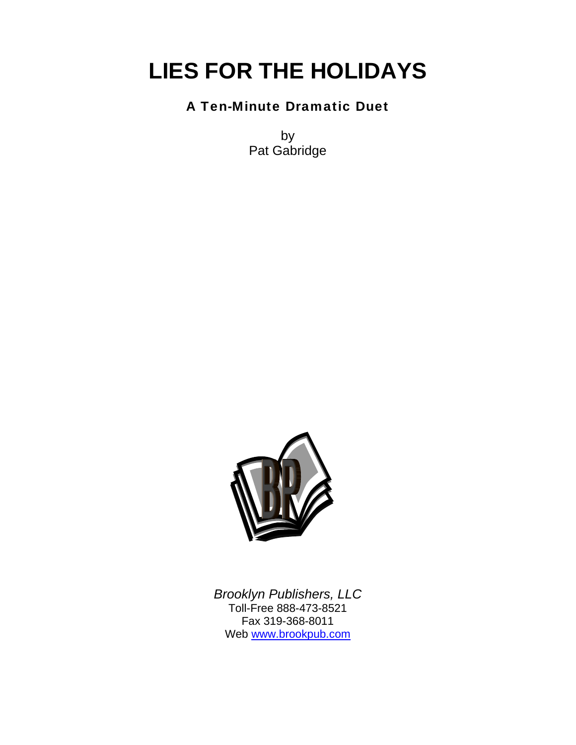# **LIES FOR THE HOLIDAYS**

## A Ten-Minute Dramatic Duet

by Pat Gabridge



*Brooklyn Publishers, LLC*  Toll-Free 888-473-8521 Fax 319-368-8011 Web www.brookpub.com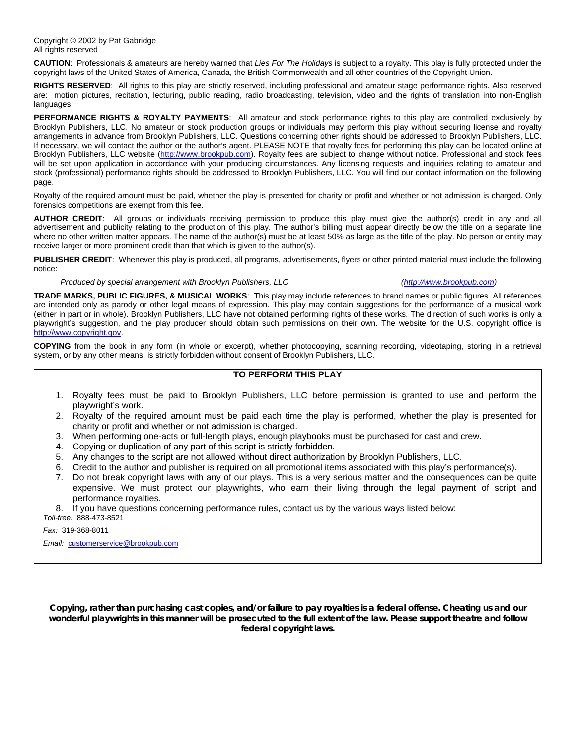**CAUTION**: Professionals & amateurs are hereby warned that *Lies For The Holidays* is subject to a royalty. This play is fully protected under the copyright laws of the United States of America, Canada, the British Commonwealth and all other countries of the Copyright Union.

**RIGHTS RESERVED**: All rights to this play are strictly reserved, including professional and amateur stage performance rights. Also reserved are: motion pictures, recitation, lecturing, public reading, radio broadcasting, television, video and the rights of translation into non-English languages.

**PERFORMANCE RIGHTS & ROYALTY PAYMENTS**: All amateur and stock performance rights to this play are controlled exclusively by Brooklyn Publishers, LLC. No amateur or stock production groups or individuals may perform this play without securing license and royalty arrangements in advance from Brooklyn Publishers, LLC. Questions concerning other rights should be addressed to Brooklyn Publishers, LLC. If necessary, we will contact the author or the author's agent. PLEASE NOTE that royalty fees for performing this play can be located online at Brooklyn Publishers, LLC website (http://www.brookpub.com). Royalty fees are subject to change without notice. Professional and stock fees will be set upon application in accordance with your producing circumstances. Any licensing requests and inquiries relating to amateur and stock (professional) performance rights should be addressed to Brooklyn Publishers, LLC. You will find our contact information on the following page.

Royalty of the required amount must be paid, whether the play is presented for charity or profit and whether or not admission is charged. Only forensics competitions are exempt from this fee.

**AUTHOR CREDIT**: All groups or individuals receiving permission to produce this play must give the author(s) credit in any and all advertisement and publicity relating to the production of this play. The author's billing must appear directly below the title on a separate line where no other written matter appears. The name of the author(s) must be at least 50% as large as the title of the play. No person or entity may receive larger or more prominent credit than that which is given to the author(s).

**PUBLISHER CREDIT**: Whenever this play is produced, all programs, advertisements, flyers or other printed material must include the following notice:

#### *Produced by special arrangement with Brooklyn Publishers, LLC (http://www.brookpub.com)*

**TRADE MARKS, PUBLIC FIGURES, & MUSICAL WORKS**: This play may include references to brand names or public figures. All references are intended only as parody or other legal means of expression. This play may contain suggestions for the performance of a musical work (either in part or in whole). Brooklyn Publishers, LLC have not obtained performing rights of these works. The direction of such works is only a playwright's suggestion, and the play producer should obtain such permissions on their own. The website for the U.S. copyright office is http://www.copyright.gov.

**COPYING** from the book in any form (in whole or excerpt), whether photocopying, scanning recording, videotaping, storing in a retrieval system, or by any other means, is strictly forbidden without consent of Brooklyn Publishers, LLC.

#### **TO PERFORM THIS PLAY**

- 1. Royalty fees must be paid to Brooklyn Publishers, LLC before permission is granted to use and perform the playwright's work.
- 2. Royalty of the required amount must be paid each time the play is performed, whether the play is presented for charity or profit and whether or not admission is charged.
- 3. When performing one-acts or full-length plays, enough playbooks must be purchased for cast and crew.
- 4. Copying or duplication of any part of this script is strictly forbidden.
- 5. Any changes to the script are not allowed without direct authorization by Brooklyn Publishers, LLC.
- 6. Credit to the author and publisher is required on all promotional items associated with this play's performance(s).
- 7. Do not break copyright laws with any of our plays. This is a very serious matter and the consequences can be quite expensive. We must protect our playwrights, who earn their living through the legal payment of script and performance royalties.

8. If you have questions concerning performance rules, contact us by the various ways listed below: *Toll-free:* 888-473-8521

 *Fax:* 319-368-8011

*Email:* customerservice@brookpub.com

**Copying, rather than purchasing cast copies, and/or failure to pay royalties is a federal offense. Cheating us and our wonderful playwrights in this manner will be prosecuted to the full extent of the law. Please support theatre and follow federal copyright laws.**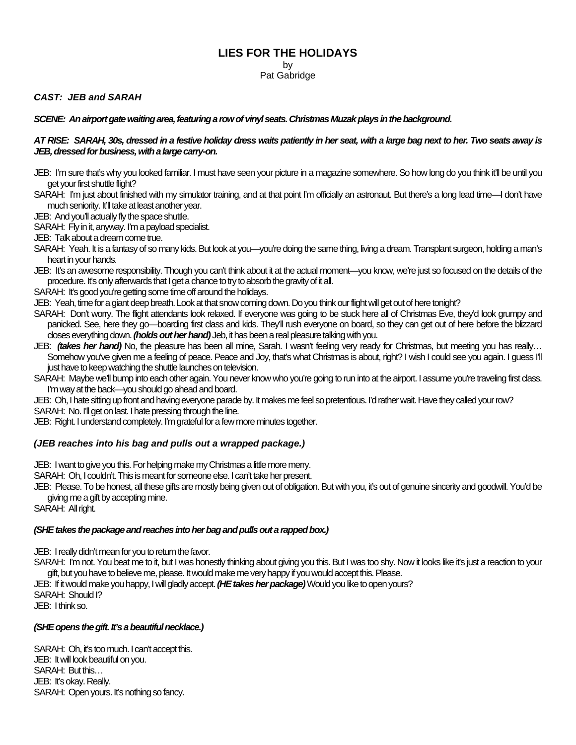#### **LIES FOR THE HOLIDAYS**

by

Pat Gabridge

*CAST: JEB and SARAH* 

#### *SCENE: An airport gate waiting area, featuring a row of vinyl seats. Christmas Muzak plays in the background.*

#### *AT RISE: SARAH, 30s, dressed in a festive holiday dress waits patiently in her seat, with a large bag next to her. Two seats away is JEB, dressed for business, with a large carry-on.*

- JEB: I'm sure that's why you looked familiar. I must have seen your picture in a magazine somewhere. So how long do you think it'll be until you get your first shuttle flight?
- SARAH: I'm just about finished with my simulator training, and at that point I'm officially an astronaut. But there's a long lead time—I don't have much seniority. It'll take at least another year.

JEB: And you'll actually fly the space shuttle.

SARAH: Fly in it, anyway. I'm a payload specialist.

JEB: Talk about a dream come true.

- SARAH: Yeah. It is a fantasy of so many kids. But look at you—you're doing the same thing, living a dream. Transplant surgeon, holding a man's heart in your hands.
- JEB: It's an awesome responsibility. Though you can't think about it at the actual moment—you know, we're just so focused on the details of the procedure. It's only afterwards that I get a chance to try to absorb the gravity of it all.
- SARAH: It's good you're getting some time off around the holidays.

JEB: Yeah, time for a giant deep breath. Look at that snow coming down. Do you think our flight will get out of here tonight?

- SARAH: Don't worry. The flight attendants look relaxed. If everyone was going to be stuck here all of Christmas Eve, they'd look grumpy and panicked. See, here they go—boarding first class and kids. They'll rush everyone on board, so they can get out of here before the blizzard closes everything down. *(holds out her hand)* Jeb, it has been a real pleasure talking with you.
- JEB: *(takes her hand)* No, the pleasure has been all mine, Sarah. I wasn't feeling very ready for Christmas, but meeting you has really… Somehow you've given me a feeling of peace. Peace and Joy, that's what Christmas is about, right? I wish I could see you again. I guess I'll just have to keep watching the shuttle launches on television.
- SARAH: Maybe we'll bump into each other again. You never know who you're going to run into at the airport. I assume you're traveling first class. I'm way at the back—you should go ahead and board.
- JEB: Oh, I hate sitting up front and having everyone parade by. It makes me feel so pretentious. I'd rather wait. Have they called your row? SARAH: No. I'll get on last. I hate pressing through the line.

JEB: Right. I understand completely. I'm grateful for a few more minutes together.

#### *(JEB reaches into his bag and pulls out a wrapped package.)*

JEB: I want to give you this. For helping make my Christmas a little more merry.

SARAH: Oh, I couldn't. This is meant for someone else. I can't take her present.

JEB: Please. To be honest, all these gifts are mostly being given out of obligation. But with you, it's out of genuine sincerity and goodwill. You'd be giving me a gift by accepting mine.

SARAH: All right.

#### *(SHE takes the package and reaches into her bag and pulls out a rapped box.)*

JEB: I really didn't mean for you to return the favor.

SARAH: I'm not. You beat me to it, but I was honestly thinking about giving you this. But I was too shy. Now it looks like it's just a reaction to your gift, but you have to believe me, please. It would make me very happy if you would accept this. Please.

JEB: If it would make you happy, I will gladly accept. *(HE takes her package)* Would you like to open yours? SARAH: Should I?

JEB: I think so.

#### *(SHE opens the gift. It's a beautiful necklace.)*

SARAH: Oh, it's too much. I can't accept this. JEB: It will look beautiful on you. SARAH: But this… JEB: It's okay. Really. SARAH: Open yours. It's nothing so fancy.